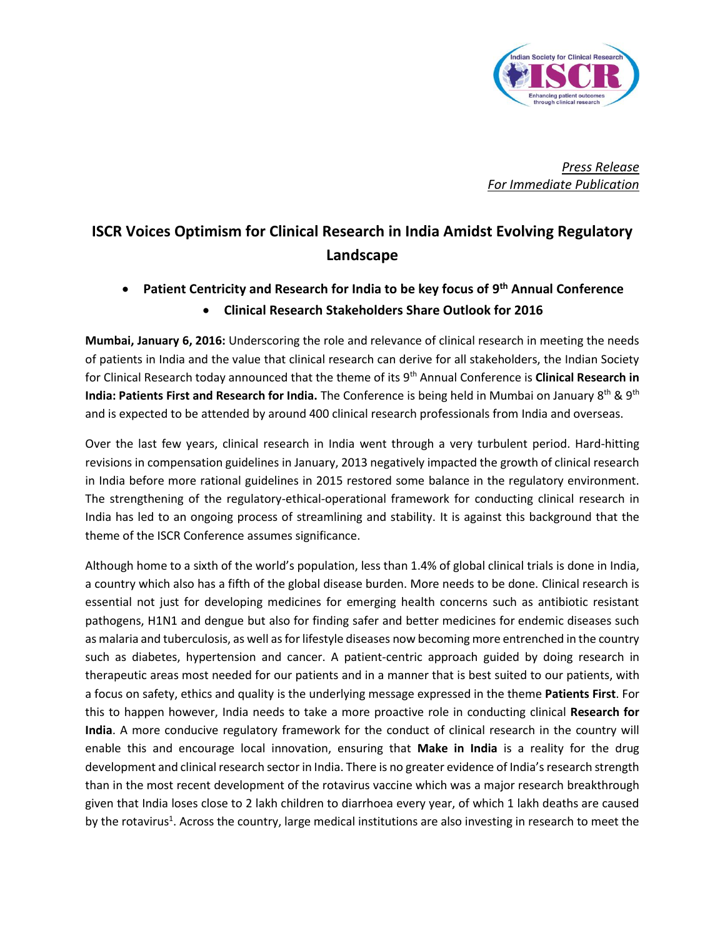

*Press Release For Immediate Publication*

## **ISCR Voices Optimism for Clinical Research in India Amidst Evolving Regulatory Landscape**

 **Patient Centricity and Research for India to be key focus of 9 th Annual Conference Clinical Research Stakeholders Share Outlook for 2016**

**Mumbai, January 6, 2016:** Underscoring the role and relevance of clinical research in meeting the needs of patients in India and the value that clinical research can derive for all stakeholders, the Indian Society for Clinical Research today announced that the theme of its 9th Annual Conference is **Clinical Research in India: Patients First and Research for India.** The Conference is being held in Mumbai on January 8<sup>th</sup> & 9<sup>th</sup> and is expected to be attended by around 400 clinical research professionals from India and overseas.

Over the last few years, clinical research in India went through a very turbulent period. Hard-hitting revisions in compensation guidelines in January, 2013 negatively impacted the growth of clinical research in India before more rational guidelines in 2015 restored some balance in the regulatory environment. The strengthening of the regulatory-ethical-operational framework for conducting clinical research in India has led to an ongoing process of streamlining and stability. It is against this background that the theme of the ISCR Conference assumes significance.

Although home to a sixth of the world's population, less than 1.4% of global clinical trials is done in India, a country which also has a fifth of the global disease burden. More needs to be done. Clinical research is essential not just for developing medicines for emerging health concerns such as antibiotic resistant pathogens, H1N1 and dengue but also for finding safer and better medicines for endemic diseases such as malaria and tuberculosis, as well as for lifestyle diseases now becoming more entrenched in the country such as diabetes, hypertension and cancer. A patient-centric approach guided by doing research in therapeutic areas most needed for our patients and in a manner that is best suited to our patients, with a focus on safety, ethics and quality is the underlying message expressed in the theme **Patients First**. For this to happen however, India needs to take a more proactive role in conducting clinical **Research for India**. A more conducive regulatory framework for the conduct of clinical research in the country will enable this and encourage local innovation, ensuring that **Make in India** is a reality for the drug development and clinical research sector in India. There is no greater evidence of India's research strength than in the most recent development of the rotavirus vaccine which was a major research breakthrough given that India loses close to 2 lakh children to diarrhoea every year, of which 1 lakh deaths are caused by the rotavirus<sup>1</sup>. Across the country, large medical institutions are also investing in research to meet the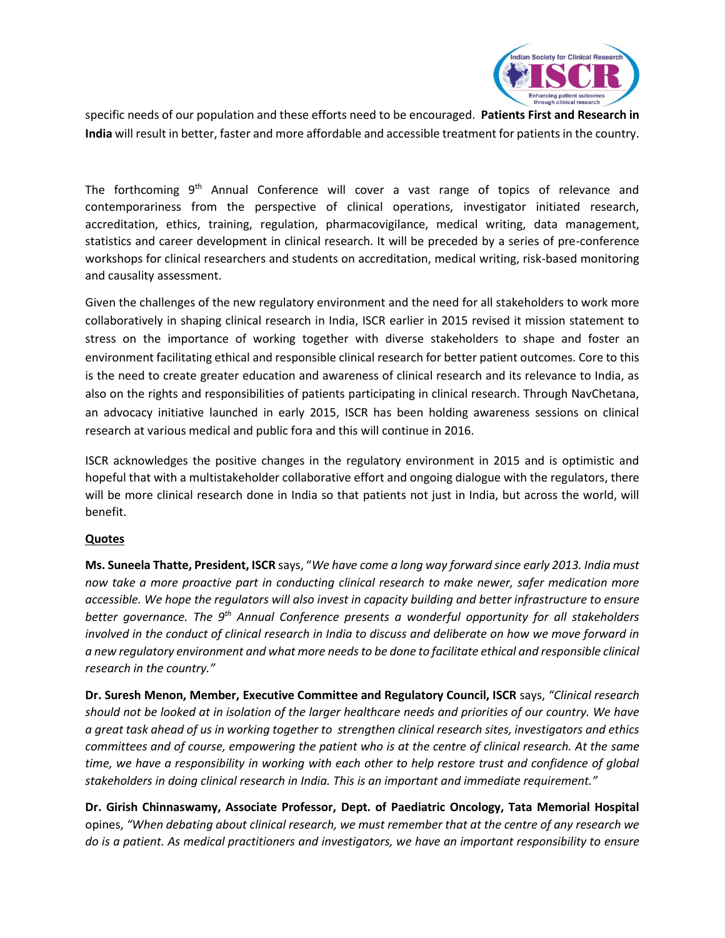

specific needs of our population and these efforts need to be encouraged. **Patients First and Research in India** will result in better, faster and more affordable and accessible treatment for patients in the country.

The forthcoming 9<sup>th</sup> Annual Conference will cover a vast range of topics of relevance and contemporariness from the perspective of clinical operations, investigator initiated research, accreditation, ethics, training, regulation, pharmacovigilance, medical writing, data management, statistics and career development in clinical research. It will be preceded by a series of pre-conference workshops for clinical researchers and students on accreditation, medical writing, risk-based monitoring and causality assessment.

Given the challenges of the new regulatory environment and the need for all stakeholders to work more collaboratively in shaping clinical research in India, ISCR earlier in 2015 revised it mission statement to stress on the importance of working together with diverse stakeholders to shape and foster an environment facilitating ethical and responsible clinical research for better patient outcomes. Core to this is the need to create greater education and awareness of clinical research and its relevance to India, as also on the rights and responsibilities of patients participating in clinical research. Through NavChetana, an advocacy initiative launched in early 2015, ISCR has been holding awareness sessions on clinical research at various medical and public fora and this will continue in 2016.

ISCR acknowledges the positive changes in the regulatory environment in 2015 and is optimistic and hopeful that with a multistakeholder collaborative effort and ongoing dialogue with the regulators, there will be more clinical research done in India so that patients not just in India, but across the world, will benefit.

## **Quotes**

**Ms. Suneela Thatte, President, ISCR** says, "*We have come a long way forward since early 2013. India must now take a more proactive part in conducting clinical research to make newer, safer medication more accessible. We hope the regulators will also invest in capacity building and better infrastructure to ensure better governance. The 9th Annual Conference presents a wonderful opportunity for all stakeholders involved in the conduct of clinical research in India to discuss and deliberate on how we move forward in a new regulatory environment and what more needs to be done to facilitate ethical and responsible clinical research in the country."*

**Dr. Suresh Menon, Member, Executive Committee and Regulatory Council, ISCR** says, *"Clinical research should not be looked at in isolation of the larger healthcare needs and priorities of our country. We have a great task ahead of us in working together to strengthen clinical research sites, investigators and ethics committees and of course, empowering the patient who is at the centre of clinical research. At the same time, we have a responsibility in working with each other to help restore trust and confidence of global stakeholders in doing clinical research in India. This is an important and immediate requirement."* 

**Dr. Girish Chinnaswamy, Associate Professor, Dept. of Paediatric Oncology, Tata Memorial Hospital** opines, *"When debating about clinical research, we must remember that at the centre of any research we do is a patient. As medical practitioners and investigators, we have an important responsibility to ensure*